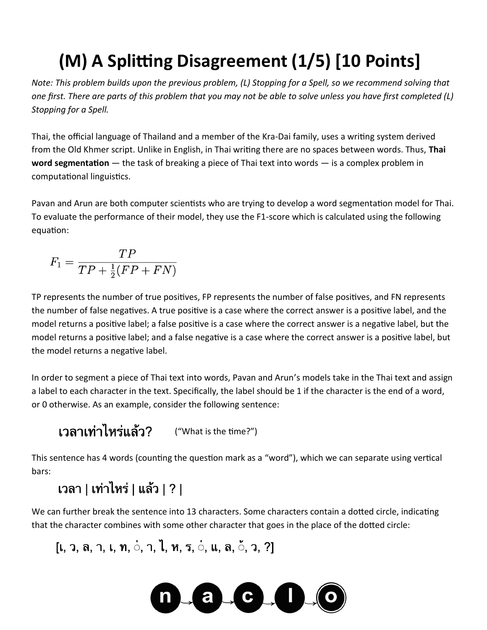# **(M) A Splitting Disagreement (1/5) [10 Points]**

*Note: This problem builds upon the previous problem, (L) Stopping for a Spell, so we recommend solving that one first. There are parts of this problem that you may not be able to solve unless you have first completed (L) Stopping for a Spell.*

Thai, the official language of Thailand and a member of the Kra-Dai family, uses a writing system derived from the Old Khmer script. Unlike in English, in Thai writing there are no spaces between words. Thus, **Thai word segmentation** — the task of breaking a piece of Thai text into words — is a complex problem in computational linguistics.

Pavan and Arun are both computer scientists who are trying to develop a word segmentation model for Thai. To evaluate the performance of their model, they use the F1-score which is calculated using the following equation:

$$
F_1 = \frac{TP}{TP + \frac{1}{2}(FP + FN)}
$$

TP represents the number of true positives, FP represents the number of false positives, and FN represents the number of false negatives. A true positive is a case where the correct answer is a positive label, and the model returns a positive label; a false positive is a case where the correct answer is a negative label, but the model returns a positive label; and a false negative is a case where the correct answer is a positive label, but the model returns a negative label.

In order to segment a piece of Thai text into words, Pavan and Arun's models take in the Thai text and assign a label to each character in the text. Specifically, the label should be 1 if the character is the end of a word, or 0 otherwise. As an example, consider the following sentence:

("What is the time?")

This sentence has 4 words (counting the question mark as a "word"), which we can separate using vertical bars:

### เวลา | เท่าไหร่ | แล้ว | ? |

We can further break the sentence into 13 characters. Some characters contain a dotted circle, indicating that the character combines with some other character that goes in the place of the dotted circle:

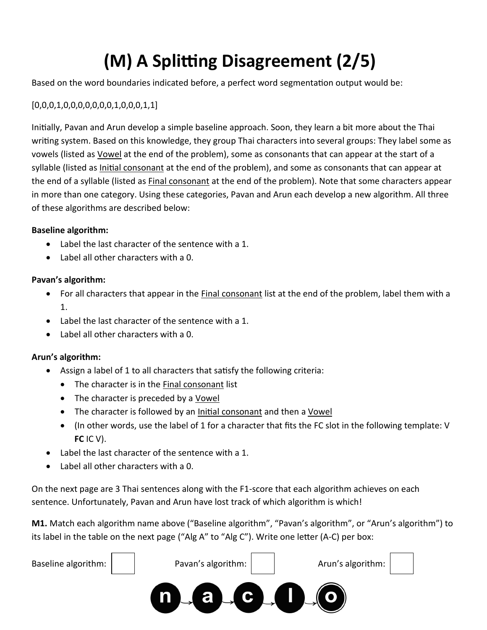# **(M) A Splitting Disagreement (2/5)**

Based on the word boundaries indicated before, a perfect word segmentation output would be:

#### [0,0,0,1,0,0,0,0,0,0,0,1,0,0,0,1,1]

Initially, Pavan and Arun develop a simple baseline approach. Soon, they learn a bit more about the Thai writing system. Based on this knowledge, they group Thai characters into several groups: They label some as vowels (listed as Vowel at the end of the problem), some as consonants that can appear at the start of a syllable (listed as *Initial consonant* at the end of the problem), and some as consonants that can appear at the end of a syllable (listed as Final consonant at the end of the problem). Note that some characters appear in more than one category. Using these categories, Pavan and Arun each develop a new algorithm. All three of these algorithms are described below:

#### **Baseline algorithm:**

- Label the last character of the sentence with a 1.
- Label all other characters with a 0.

#### **Pavan's algorithm:**

- For all characters that appear in the Final consonant list at the end of the problem, label them with a 1.
- Label the last character of the sentence with a 1.
- Label all other characters with a 0.

#### **Arun's algorithm:**

- Assign a label of 1 to all characters that satisfy the following criteria:
	- The character is in the Final consonant list
	- The character is preceded by a Vowel
	- The character is followed by an Initial consonant and then a Vowel
	- (In other words, use the label of 1 for a character that fits the FC slot in the following template: V **FC** IC V).
- Label the last character of the sentence with a 1.
- Label all other characters with a 0.

On the next page are 3 Thai sentences along with the F1-score that each algorithm achieves on each sentence. Unfortunately, Pavan and Arun have lost track of which algorithm is which!

**M1.** Match each algorithm name above ("Baseline algorithm", "Pavan's algorithm", or "Arun's algorithm") to its label in the table on the next page ("Alg A" to "Alg C"). Write one letter (A-C) per box:

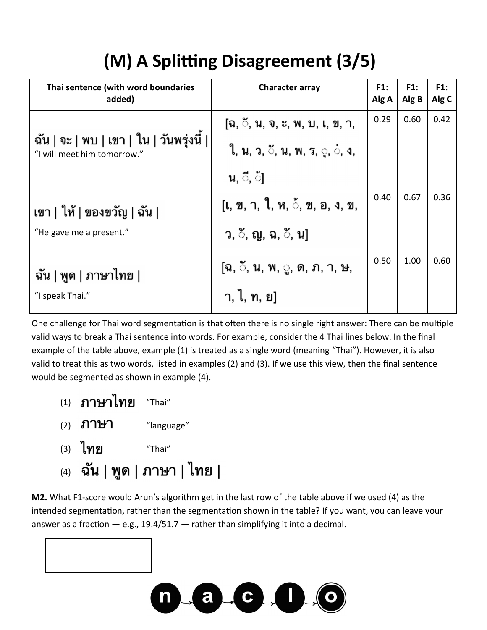## **(M) A Splitting Disagreement (3/5)**

| Thai sentence (with word boundaries<br>added)                           | <b>Character array</b>                | F1:<br>Alg A | F1:<br>Alg B | F1:<br>Alg C |
|-------------------------------------------------------------------------|---------------------------------------|--------------|--------------|--------------|
| ฉัน   จะ   พบ   เขา   ใน   วันพรุ่งนี้  <br>"I will meet him tomorrow." | โฉ. <b>ี. น. จ. ะ. พ. บ. เ. ข.</b> า, | 0.29         | 0.60         | 0.42         |
|                                                                         | ีใ, น, ว, <b>ั, น, พ, ร, ู, ่, ง,</b> |              |              |              |
|                                                                         | น, ึ, ้                               |              |              |              |
| เขา   ให้   ของขวัญ   ฉัน                                               | [เ, ข, า, ใ, ห, ้, ข, อ, ง, ข,        | 0.40         | 0.67         | 0.36         |
| "He gave me a present."                                                 | ว, ँ, ญ, ฉ, <b>ँ,</b> น]              |              |              |              |
| ฉัน   พูด   ภาษาไทย  <br>"I speak Thai."                                | [ฉ, ៓, น, พ, ู, ด, ภ, า, ษ,           | 0.50         | 1.00         | 0.60         |
|                                                                         | ำ, ไ, ท, ย]                           |              |              |              |

One challenge for Thai word segmentation is that often there is no single right answer: There can be multiple valid ways to break a Thai sentence into words. For example, consider the 4 Thai lines below. In the final example of the table above, example (1) is treated as a single word (meaning "Thai"). However, it is also valid to treat this as two words, listed in examples (2) and (3). If we use this view, then the final sentence would be segmented as shown in example (4).

- $(1)$  ภาษาไทย "Thai"
- (2)  $\mathbf{\mathsf{1}}\mathbf{\mathsf{1}}\mathbf{\mathsf{2}}\mathbf{\mathsf{3}}$  "language"
- $(3)$  ไทย "Thai"
- (4) ฉัน | พูด | ภาษา | ไทย |

**M2.** What F1-score would Arun's algorithm get in the last row of the table above if we used (4) as the intended segmentation, rather than the segmentation shown in the table? If you want, you can leave your answer as a fraction  $-$  e.g., 19.4/51.7  $-$  rather than simplifying it into a decimal.

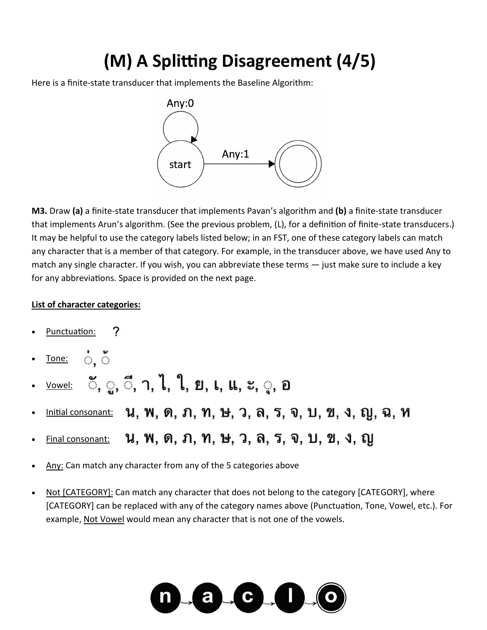### **(M) A Splitting Disagreement (4/5)**

Here is a finite-state transducer that implements the Baseline Algorithm:



**M3.** Draw **(a)** a finite-state transducer that implements Pavan's algorithm and **(b)** a finite-state transducer that implements Arun's algorithm. (See the previous problem, (L), for a definition of finite-state transducers.) It may be helpful to use the category labels listed below; in an FST, one of these category labels can match any character that is a member of that category. For example, in the transducer above, we have used Any to match any single character. If you wish, you can abbreviate these terms — just make sure to include a key for any abbreviations. Space is provided on the next page.

#### **List of character categories:**

- ? Punctuation:
- ं ँ Tone:
- <u>้<sup>vowel:</sub> ៓, ৣ, ៓,</u> า, ไ, ใ, ย, เ, แ, ะ, ู, อ</u></sup>
- Initial consonant: **น, พ, ด, ภ, ท, ษ, ว, ล, ร, จ, บ, ข, ง, ญ, ฉ, ห**
- <u>Final consonant:</u> **น, พ, ด, ภ, ท, ษ, ว, ล, ร, จ, บ, ข, ง, ญ**
- Any: Can match any character from any of the 5 categories above
- Not [CATEGORY]: Can match any character that does not belong to the category [CATEGORY], where [CATEGORY] can be replaced with any of the category names above (Punctuation, Tone, Vowel, etc.). For example, Not Vowel would mean any character that is not one of the vowels.